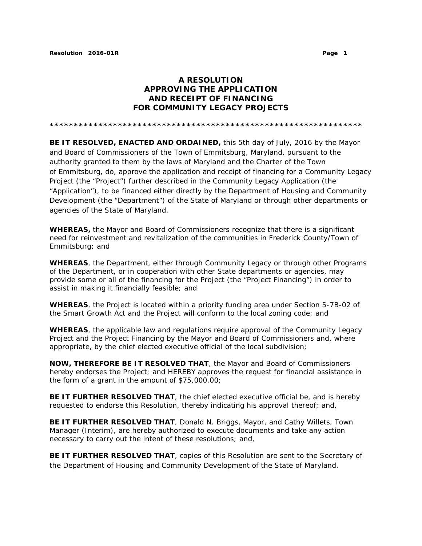## **A RESOLUTION APPROVING THE APPLICATION AND RECEIPT OF FINANCING FOR COMMUNITY LEGACY PROJECTS**

**\*\*\*\*\*\*\*\*\*\*\*\*\*\*\*\*\*\*\*\*\*\*\*\*\*\*\*\*\*\*\*\*\*\*\*\*\*\*\*\*\*\*\*\*\*\*\*\*\*\*\*\*\*\*\*\*\*\*\*\*\*\*\*\***

**BE IT RESOLVED, ENACTED AND ORDAINED,** this 5th day of July, 2016 by the Mayor and Board of Commissioners of the Town of Emmitsburg, Maryland, pursuant to the authority granted to them by the laws of Maryland and the Charter of the Town of Emmitsburg, do, approve the application and receipt of financing for a Community Legacy Project (the "Project") further described in the Community Legacy Application (the "Application"), to be financed either directly by the Department of Housing and Community Development (the "Department") of the State of Maryland or through other departments or agencies of the State of Maryland.

**WHEREAS,** the Mayor and Board of Commissioners recognize that there is a significant need for reinvestment and revitalization of the communities in Frederick County/Town of Emmitsburg; and

**WHEREAS**, the Department, either through Community Legacy or through other Programs of the Department, or in cooperation with other State departments or agencies, may provide some or all of the financing for the Project (the "Project Financing") in order to assist in making it financially feasible; and

**WHEREAS**, the Project is located within a priority funding area under Section 5-7B-02 of the Smart Growth Act and the Project will conform to the local zoning code; and

**WHEREAS**, the applicable law and regulations require approval of the Community Legacy Project and the Project Financing by the Mayor and Board of Commissioners and, where appropriate, by the chief elected executive official of the local subdivision;

**NOW, THEREFORE BE IT RESOLVED THAT**, the Mayor and Board of Commissioners hereby endorses the Project; and HEREBY approves the request for financial assistance in the form of a grant in the amount of \$75,000.00;

**BE IT FURTHER RESOLVED THAT**, the chief elected executive official be, and is hereby requested to endorse this Resolution, thereby indicating his approval thereof; and,

**BE IT FURTHER RESOLVED THAT**, Donald N. Briggs, Mayor, and Cathy Willets, Town Manager (Interim), are hereby authorized to execute documents and take any action necessary to carry out the intent of these resolutions; and,

**BE IT FURTHER RESOLVED THAT**, copies of this Resolution are sent to the Secretary of the Department of Housing and Community Development of the State of Maryland.